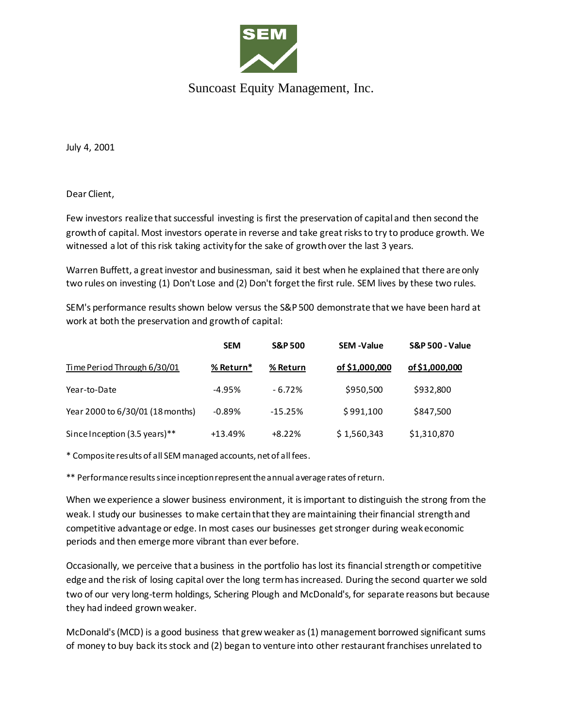

## Suncoast Equity Management, Inc.

July 4, 2001

Dear Client,

Few investors realize that successful investing is first the preservation of capital and then second the growth of capital. Most investors operate in reverse and take great risks to try to produce growth. We witnessed a lot of this risk taking activity for the sake of growth over the last 3 years.

Warren Buffett, a great investor and businessman, said it best when he explained that there are only two rules on investing (1) Don't Lose and (2) Don't forget the first rule. SEM lives by these two rules.

SEM's performance results shown below versus the S&P 500 demonstrate that we have been hard at work at both the preservation and growth of capital:

|                                  | <b>SEM</b> | <b>S&amp;P 500</b> | <b>SEM-Value</b> | <b>S&amp;P 500 - Value</b> |
|----------------------------------|------------|--------------------|------------------|----------------------------|
| Time Period Through 6/30/01      | % Return*  | % Return           | of \$1,000,000   | of \$1,000,000             |
| Year-to-Date                     | $-4.95%$   | $-6.72%$           | \$950,500        | \$932,800                  |
| Year 2000 to 6/30/01 (18 months) | $-0.89%$   | $-15.25%$          | \$991,100        | \$847,500                  |
| Since Inception (3.5 years)**    | +13.49%    | $+8.22%$           | \$1,560,343      | \$1,310,870                |

\* Composite results of all SEM managed accounts, net of all fees.

\*\* Performance results since inception represent the annual average rates of return.

When we experience a slower business environment, it is important to distinguish the strong from the weak. I study our businesses to make certain that they are maintaining their financial strength and competitive advantage or edge. In most cases our businesses get stronger during weak economic periods and then emerge more vibrant than ever before.

Occasionally, we perceive that a business in the portfolio has lost its financial strength or competitive edge and the risk of losing capital over the long term has increased. During the second quarter we sold two of our very long-term holdings, Schering Plough and McDonald's, for separate reasons but because they had indeed grown weaker.

McDonald's (MCD) is a good business that grew weaker as (1) management borrowed significant sums of money to buy back its stock and (2) began to venture into other restaurant franchises unrelated to